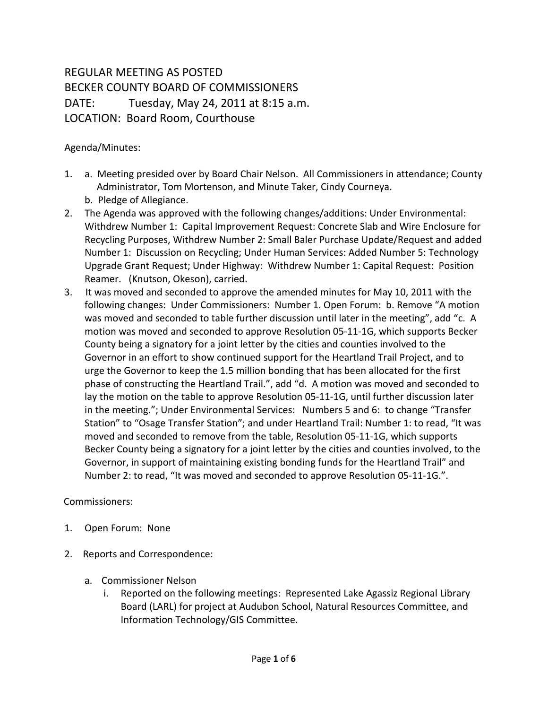## REGULAR MEETING AS POSTED BECKER COUNTY BOARD OF COMMISSIONERS DATE: Tuesday, May 24, 2011 at 8:15 a.m. LOCATION: Board Room, Courthouse

## Agenda/Minutes:

- 1. a. Meeting presided over by Board Chair Nelson. All Commissioners in attendance; County Administrator, Tom Mortenson, and Minute Taker, Cindy Courneya.
	- b. Pledge of Allegiance.
- 2. The Agenda was approved with the following changes/additions: Under Environmental: Withdrew Number 1: Capital Improvement Request: Concrete Slab and Wire Enclosure for Recycling Purposes, Withdrew Number 2: Small Baler Purchase Update/Request and added Number 1: Discussion on Recycling; Under Human Services: Added Number 5: Technology Upgrade Grant Request; Under Highway: Withdrew Number 1: Capital Request: Position Reamer. (Knutson, Okeson), carried.
- 3. It was moved and seconded to approve the amended minutes for May 10, 2011 with the following changes: Under Commissioners: Number 1. Open Forum: b. Remove "A motion was moved and seconded to table further discussion until later in the meeting", add "c. A motion was moved and seconded to approve Resolution 05-11-1G, which supports Becker County being a signatory for a joint letter by the cities and counties involved to the Governor in an effort to show continued support for the Heartland Trail Project, and to urge the Governor to keep the 1.5 million bonding that has been allocated for the first phase of constructing the Heartland Trail.", add "d. A motion was moved and seconded to lay the motion on the table to approve Resolution 05-11-1G, until further discussion later in the meeting."; Under Environmental Services: Numbers 5 and 6: to change "Transfer Station" to "Osage Transfer Station"; and under Heartland Trail: Number 1: to read, "It was moved and seconded to remove from the table, Resolution 05-11-1G, which supports Becker County being a signatory for a joint letter by the cities and counties involved, to the Governor, in support of maintaining existing bonding funds for the Heartland Trail" and Number 2: to read, "It was moved and seconded to approve Resolution 05-11-1G.".

## Commissioners:

- 1. Open Forum: None
- 2. Reports and Correspondence:
	- a. Commissioner Nelson
		- i. Reported on the following meetings: Represented Lake Agassiz Regional Library Board (LARL) for project at Audubon School, Natural Resources Committee, and Information Technology/GIS Committee.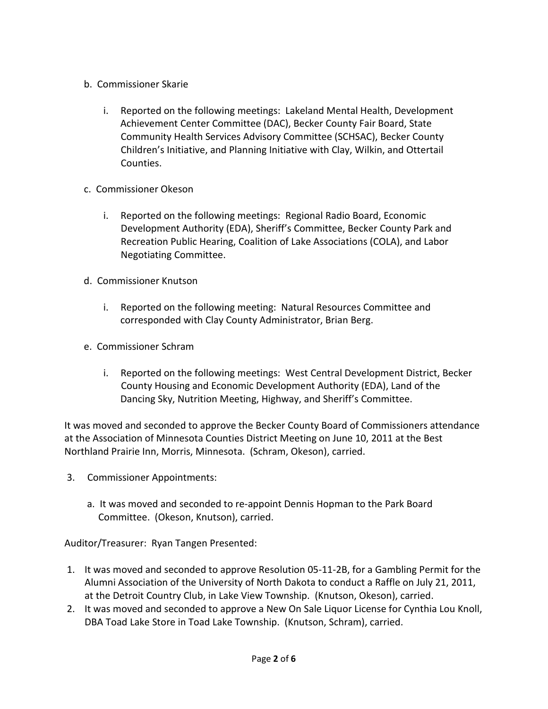- b. Commissioner Skarie
	- i. Reported on the following meetings: Lakeland Mental Health, Development Achievement Center Committee (DAC), Becker County Fair Board, State Community Health Services Advisory Committee (SCHSAC), Becker County Children's Initiative, and Planning Initiative with Clay, Wilkin, and Ottertail Counties.
- c. Commissioner Okeson
	- i. Reported on the following meetings: Regional Radio Board, Economic Development Authority (EDA), Sheriff's Committee, Becker County Park and Recreation Public Hearing, Coalition of Lake Associations (COLA), and Labor Negotiating Committee.
- d. Commissioner Knutson
	- i. Reported on the following meeting: Natural Resources Committee and corresponded with Clay County Administrator, Brian Berg.
- e. Commissioner Schram
	- i. Reported on the following meetings: West Central Development District, Becker County Housing and Economic Development Authority (EDA), Land of the Dancing Sky, Nutrition Meeting, Highway, and Sheriff's Committee.

It was moved and seconded to approve the Becker County Board of Commissioners attendance at the Association of Minnesota Counties District Meeting on June 10, 2011 at the Best Northland Prairie Inn, Morris, Minnesota. (Schram, Okeson), carried.

- 3. Commissioner Appointments:
	- a. It was moved and seconded to re-appoint Dennis Hopman to the Park Board Committee. (Okeson, Knutson), carried.

Auditor/Treasurer: Ryan Tangen Presented:

- 1. It was moved and seconded to approve Resolution 05-11-2B, for a Gambling Permit for the Alumni Association of the University of North Dakota to conduct a Raffle on July 21, 2011, at the Detroit Country Club, in Lake View Township. (Knutson, Okeson), carried.
- 2. It was moved and seconded to approve a New On Sale Liquor License for Cynthia Lou Knoll, DBA Toad Lake Store in Toad Lake Township. (Knutson, Schram), carried.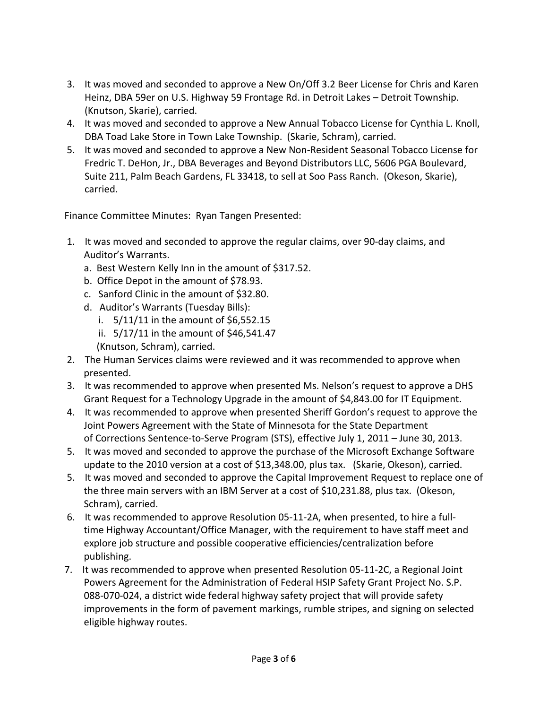- 3. It was moved and seconded to approve a New On/Off 3.2 Beer License for Chris and Karen Heinz, DBA 59er on U.S. Highway 59 Frontage Rd. in Detroit Lakes – Detroit Township. (Knutson, Skarie), carried.
- 4. It was moved and seconded to approve a New Annual Tobacco License for Cynthia L. Knoll, DBA Toad Lake Store in Town Lake Township. (Skarie, Schram), carried.
- 5. It was moved and seconded to approve a New Non-Resident Seasonal Tobacco License for Fredric T. DeHon, Jr., DBA Beverages and Beyond Distributors LLC, 5606 PGA Boulevard, Suite 211, Palm Beach Gardens, FL 33418, to sell at Soo Pass Ranch. (Okeson, Skarie), carried.

Finance Committee Minutes: Ryan Tangen Presented:

- 1. It was moved and seconded to approve the regular claims, over 90-day claims, and Auditor's Warrants.
	- a. Best Western Kelly Inn in the amount of \$317.52.
	- b. Office Depot in the amount of \$78.93.
	- c. Sanford Clinic in the amount of \$32.80.
	- d. Auditor's Warrants (Tuesday Bills):
		- i.  $5/11/11$  in the amount of \$6,552.15
		- ii. 5/17/11 in the amount of \$46,541.47 (Knutson, Schram), carried.
- 2. The Human Services claims were reviewed and it was recommended to approve when presented.
- 3. It was recommended to approve when presented Ms. Nelson's request to approve a DHS Grant Request for a Technology Upgrade in the amount of \$4,843.00 for IT Equipment.
- 4. It was recommended to approve when presented Sheriff Gordon's request to approve the Joint Powers Agreement with the State of Minnesota for the State Department of Corrections Sentence-to-Serve Program (STS), effective July 1, 2011 – June 30, 2013.
- 5. It was moved and seconded to approve the purchase of the Microsoft Exchange Software update to the 2010 version at a cost of \$13,348.00, plus tax. (Skarie, Okeson), carried.
- 5. It was moved and seconded to approve the Capital Improvement Request to replace one of the three main servers with an IBM Server at a cost of \$10,231.88, plus tax. (Okeson, Schram), carried.
- 6. It was recommended to approve Resolution 05-11-2A, when presented, to hire a full time Highway Accountant/Office Manager, with the requirement to have staff meet and explore job structure and possible cooperative efficiencies/centralization before publishing.
- 7. It was recommended to approve when presented Resolution 05-11-2C, a Regional Joint Powers Agreement for the Administration of Federal HSIP Safety Grant Project No. S.P. 088-070-024, a district wide federal highway safety project that will provide safety improvements in the form of pavement markings, rumble stripes, and signing on selected eligible highway routes.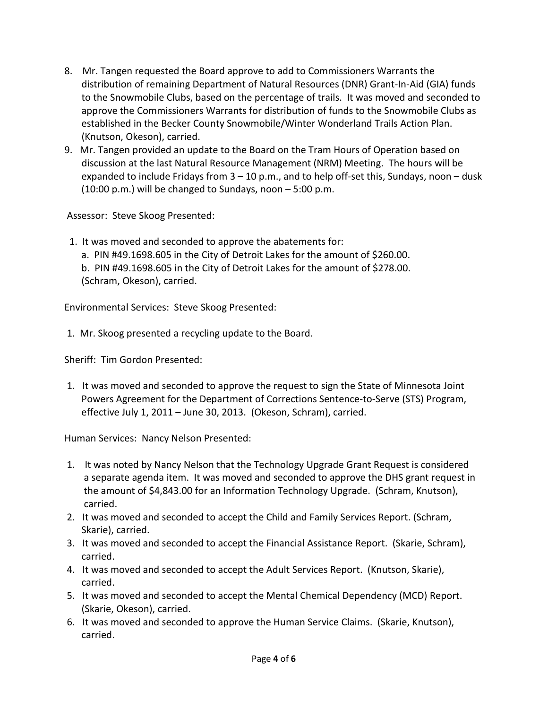- 8. Mr. Tangen requested the Board approve to add to Commissioners Warrants the distribution of remaining Department of Natural Resources (DNR) Grant-In-Aid (GIA) funds to the Snowmobile Clubs, based on the percentage of trails. It was moved and seconded to approve the Commissioners Warrants for distribution of funds to the Snowmobile Clubs as established in the Becker County Snowmobile/Winter Wonderland Trails Action Plan. (Knutson, Okeson), carried.
- 9. Mr. Tangen provided an update to the Board on the Tram Hours of Operation based on discussion at the last Natural Resource Management (NRM) Meeting. The hours will be expanded to include Fridays from  $3 - 10$  p.m., and to help off-set this, Sundays, noon  $-$  dusk (10:00 p.m.) will be changed to Sundays, noon – 5:00 p.m.

Assessor: Steve Skoog Presented:

 1. It was moved and seconded to approve the abatements for: a. PIN #49.1698.605 in the City of Detroit Lakes for the amount of \$260.00. b. PIN #49.1698.605 in the City of Detroit Lakes for the amount of \$278.00. (Schram, Okeson), carried.

Environmental Services: Steve Skoog Presented:

1. Mr. Skoog presented a recycling update to the Board.

Sheriff: Tim Gordon Presented:

1. It was moved and seconded to approve the request to sign the State of Minnesota Joint Powers Agreement for the Department of Corrections Sentence-to-Serve (STS) Program, effective July 1, 2011 – June 30, 2013. (Okeson, Schram), carried.

Human Services: Nancy Nelson Presented:

- 1. It was noted by Nancy Nelson that the Technology Upgrade Grant Request is considered a separate agenda item. It was moved and seconded to approve the DHS grant request in the amount of \$4,843.00 for an Information Technology Upgrade. (Schram, Knutson), carried.
- 2. It was moved and seconded to accept the Child and Family Services Report. (Schram, Skarie), carried.
- 3. It was moved and seconded to accept the Financial Assistance Report. (Skarie, Schram), carried.
- 4. It was moved and seconded to accept the Adult Services Report. (Knutson, Skarie), carried.
- 5. It was moved and seconded to accept the Mental Chemical Dependency (MCD) Report. (Skarie, Okeson), carried.
- 6. It was moved and seconded to approve the Human Service Claims. (Skarie, Knutson), carried.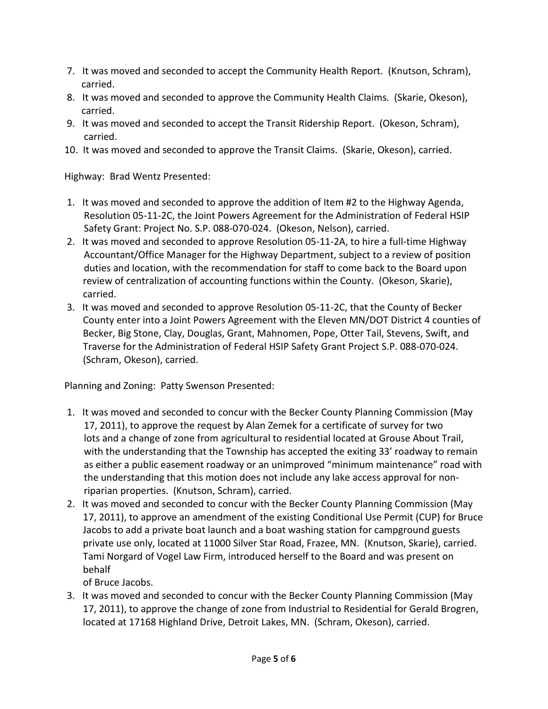- 7. It was moved and seconded to accept the Community Health Report. (Knutson, Schram), carried.
- 8. It was moved and seconded to approve the Community Health Claims. (Skarie, Okeson), carried.
- 9. It was moved and seconded to accept the Transit Ridership Report. (Okeson, Schram), carried.
- 10. It was moved and seconded to approve the Transit Claims. (Skarie, Okeson), carried.

Highway: Brad Wentz Presented:

- 1. It was moved and seconded to approve the addition of Item #2 to the Highway Agenda, Resolution 05-11-2C, the Joint Powers Agreement for the Administration of Federal HSIP Safety Grant: Project No. S.P. 088-070-024. (Okeson, Nelson), carried.
- 2. It was moved and seconded to approve Resolution 05-11-2A, to hire a full-time Highway Accountant/Office Manager for the Highway Department, subject to a review of position duties and location, with the recommendation for staff to come back to the Board upon review of centralization of accounting functions within the County. (Okeson, Skarie), carried.
- 3. It was moved and seconded to approve Resolution 05-11-2C, that the County of Becker County enter into a Joint Powers Agreement with the Eleven MN/DOT District 4 counties of Becker, Big Stone, Clay, Douglas, Grant, Mahnomen, Pope, Otter Tail, Stevens, Swift, and Traverse for the Administration of Federal HSIP Safety Grant Project S.P. 088-070-024. (Schram, Okeson), carried.

Planning and Zoning: Patty Swenson Presented:

- 1. It was moved and seconded to concur with the Becker County Planning Commission (May 17, 2011), to approve the request by Alan Zemek for a certificate of survey for two lots and a change of zone from agricultural to residential located at Grouse About Trail, with the understanding that the Township has accepted the exiting 33' roadway to remain as either a public easement roadway or an unimproved "minimum maintenance" road with the understanding that this motion does not include any lake access approval for non riparian properties. (Knutson, Schram), carried.
- 2. It was moved and seconded to concur with the Becker County Planning Commission (May 17, 2011), to approve an amendment of the existing Conditional Use Permit (CUP) for Bruce Jacobs to add a private boat launch and a boat washing station for campground guests private use only, located at 11000 Silver Star Road, Frazee, MN. (Knutson, Skarie), carried. Tami Norgard of Vogel Law Firm, introduced herself to the Board and was present on behalf

of Bruce Jacobs.

3. It was moved and seconded to concur with the Becker County Planning Commission (May 17, 2011), to approve the change of zone from Industrial to Residential for Gerald Brogren, located at 17168 Highland Drive, Detroit Lakes, MN. (Schram, Okeson), carried.